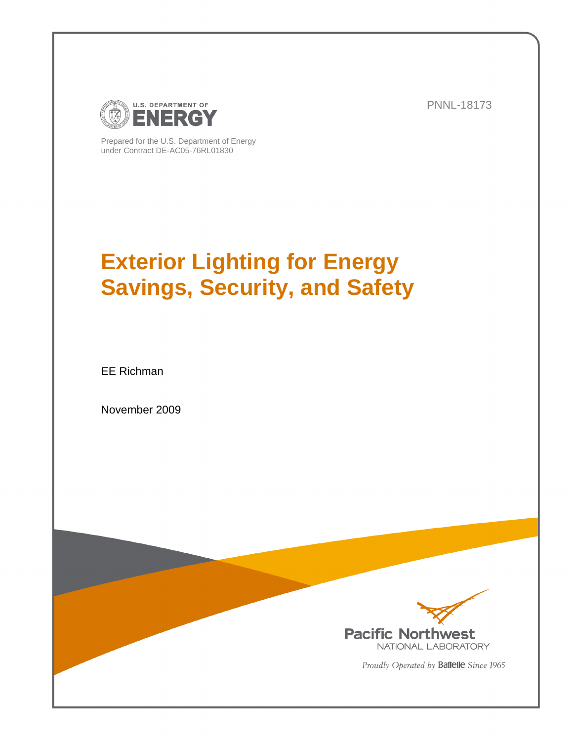

Prepared for the U.S. Department of Energy under Contract DE-AC05-76RL01830

# **Exterior Lighting for Energy Savings, Security, and Safety**

EE Richman

November 2009



Proudly Operated by Battelle Since 1965

PNNL-18173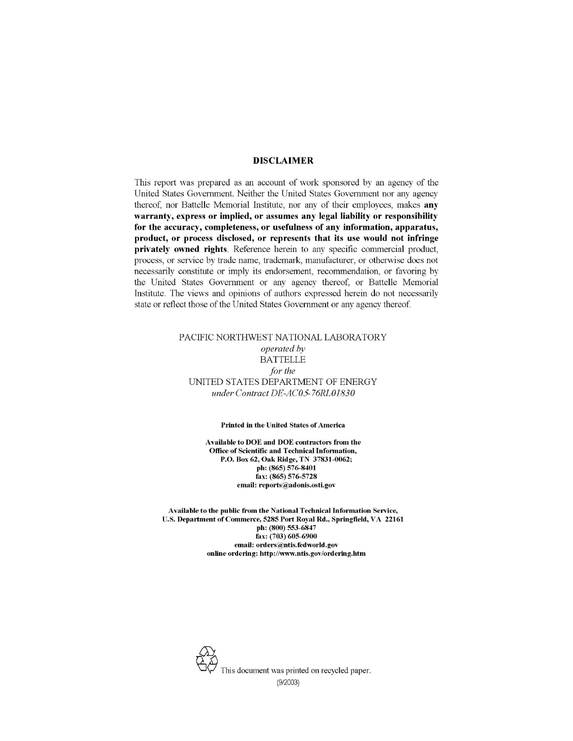#### **DISCLAIMER**

This report was prepared as an account of work sponsored by an agency of the United States Government. Neither the United States Government nor any agency thereof, nor Battelle Memorial Institute, nor any of their employees, makes any warranty, express or implied, or assumes any legal liability or responsibility for the accuracy, completeness, or usefulness of any information, apparatus, product, or process disclosed, or represents that its use would not infringe privately owned rights. Reference herein to any specific commercial product, process, or service by trade name, trademark, manufacturer, or otherwise does not necessarily constitute or imply its endorsement, recommendation, or favoring by the United States Government or any agency thereof, or Battelle Memorial Institute. The views and opinions of authors expressed herein do not necessarily state or reflect those of the United States Government or any agency thereof.

#### PACIFIC NORTHWEST NATIONAL LABORATORY operated by **BATTELLE** for the UNITED STATES DEPARTMENT OF ENERGY under Contract DE-AC05-76RL01830

#### Printed in the United States of America

Available to DOE and DOE contractors from the Office of Scientific and Technical Information, P.O. Box 62, Oak Ridge, TN 37831-0062; ph: (865) 576-8401 fax: (865) 576-5728 email: reports@adonis.osti.gov

Available to the public from the National Technical Information Service, U.S. Department of Commerce, 5285 Port Royal Rd., Springfield, VA 22161 ph: (800) 553-6847 fax: (703) 605-6900 email: orders@ntis.fedworld.gov online ordering: http://www.ntis.gov/ordering.htm



 $(9/2003)$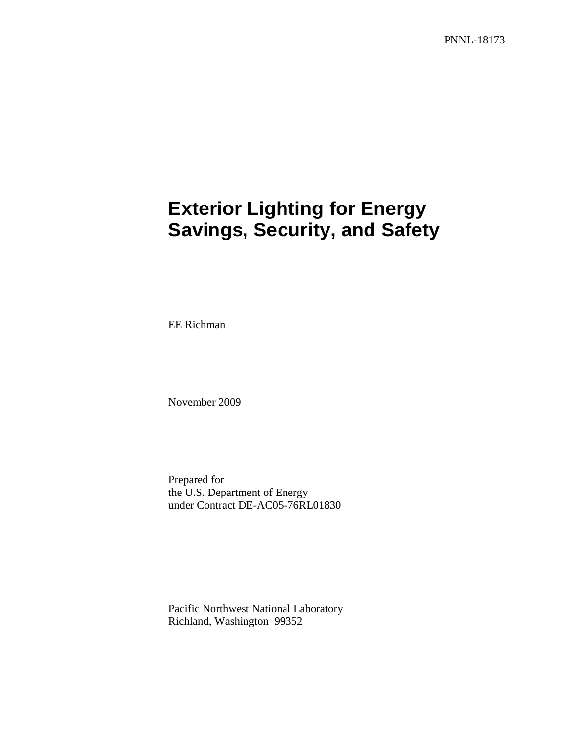PNNL-18173

## **Exterior Lighting for Energy Savings, Security, and Safety**

EE Richman

November 2009

Prepared for the U.S. Department of Energy under Contract DE-AC05-76RL01830

Pacific Northwest National Laboratory Richland, Washington 99352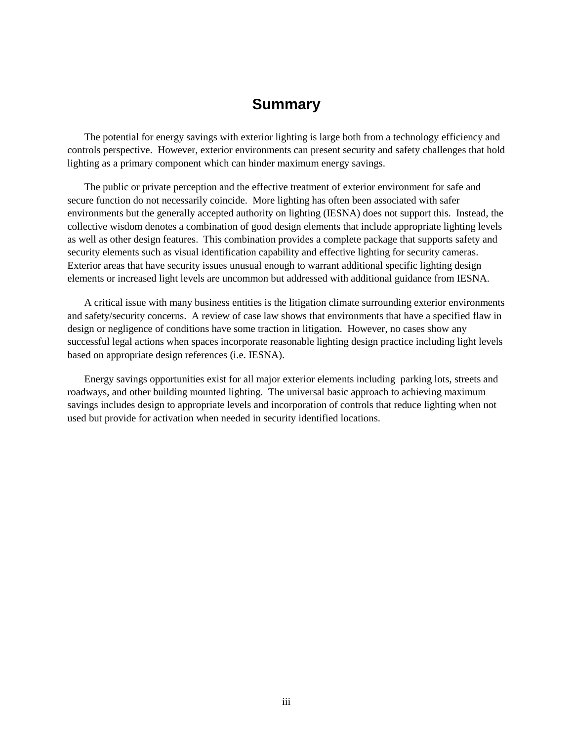### **Summary**

The potential for energy savings with exterior lighting is large both from a technology efficiency and controls perspective. However, exterior environments can present security and safety challenges that hold lighting as a primary component which can hinder maximum energy savings.

The public or private perception and the effective treatment of exterior environment for safe and secure function do not necessarily coincide. More lighting has often been associated with safer environments but the generally accepted authority on lighting (IESNA) does not support this. Instead, the collective wisdom denotes a combination of good design elements that include appropriate lighting levels as well as other design features. This combination provides a complete package that supports safety and security elements such as visual identification capability and effective lighting for security cameras. Exterior areas that have security issues unusual enough to warrant additional specific lighting design elements or increased light levels are uncommon but addressed with additional guidance from IESNA.

A critical issue with many business entities is the litigation climate surrounding exterior environments and safety/security concerns. A review of case law shows that environments that have a specified flaw in design or negligence of conditions have some traction in litigation. However, no cases show any successful legal actions when spaces incorporate reasonable lighting design practice including light levels based on appropriate design references (i.e. IESNA).

Energy savings opportunities exist for all major exterior elements including parking lots, streets and roadways, and other building mounted lighting. The universal basic approach to achieving maximum savings includes design to appropriate levels and incorporation of controls that reduce lighting when not used but provide for activation when needed in security identified locations.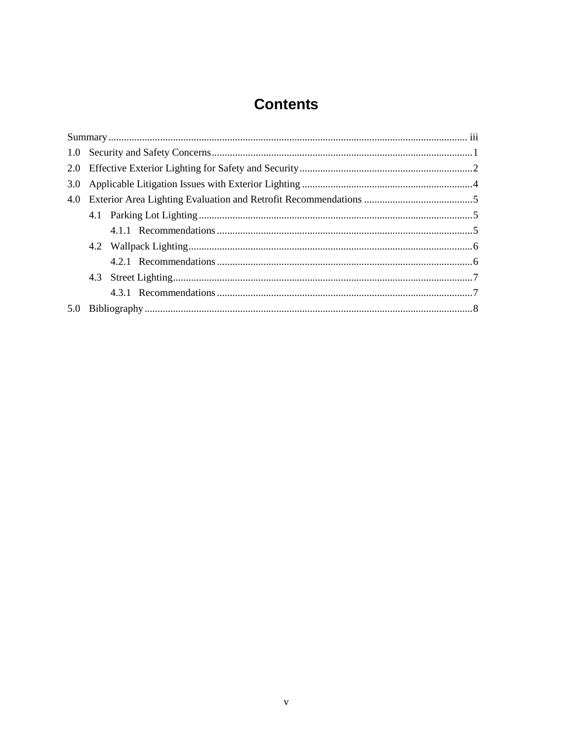### **Contents**

| 3.0 |  |  |  |
|-----|--|--|--|
|     |  |  |  |
|     |  |  |  |
|     |  |  |  |
|     |  |  |  |
|     |  |  |  |
|     |  |  |  |
|     |  |  |  |
|     |  |  |  |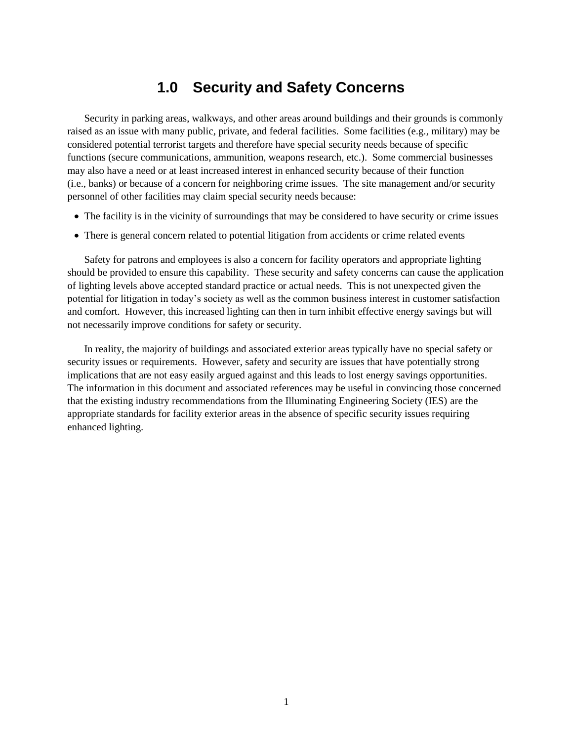### **1.0 Security and Safety Concerns**

Security in parking areas, walkways, and other areas around buildings and their grounds is commonly raised as an issue with many public, private, and federal facilities. Some facilities (e.g., military) may be considered potential terrorist targets and therefore have special security needs because of specific functions (secure communications, ammunition, weapons research, etc.). Some commercial businesses may also have a need or at least increased interest in enhanced security because of their function (i.e., banks) or because of a concern for neighboring crime issues. The site management and/or security personnel of other facilities may claim special security needs because:

- The facility is in the vicinity of surroundings that may be considered to have security or crime issues
- There is general concern related to potential litigation from accidents or crime related events

Safety for patrons and employees is also a concern for facility operators and appropriate lighting should be provided to ensure this capability. These security and safety concerns can cause the application of lighting levels above accepted standard practice or actual needs. This is not unexpected given the potential for litigation in today's society as well as the common business interest in customer satisfaction and comfort. However, this increased lighting can then in turn inhibit effective energy savings but will not necessarily improve conditions for safety or security.

In reality, the majority of buildings and associated exterior areas typically have no special safety or security issues or requirements. However, safety and security are issues that have potentially strong implications that are not easy easily argued against and this leads to lost energy savings opportunities. The information in this document and associated references may be useful in convincing those concerned that the existing industry recommendations from the Illuminating Engineering Society (IES) are the appropriate standards for facility exterior areas in the absence of specific security issues requiring enhanced lighting.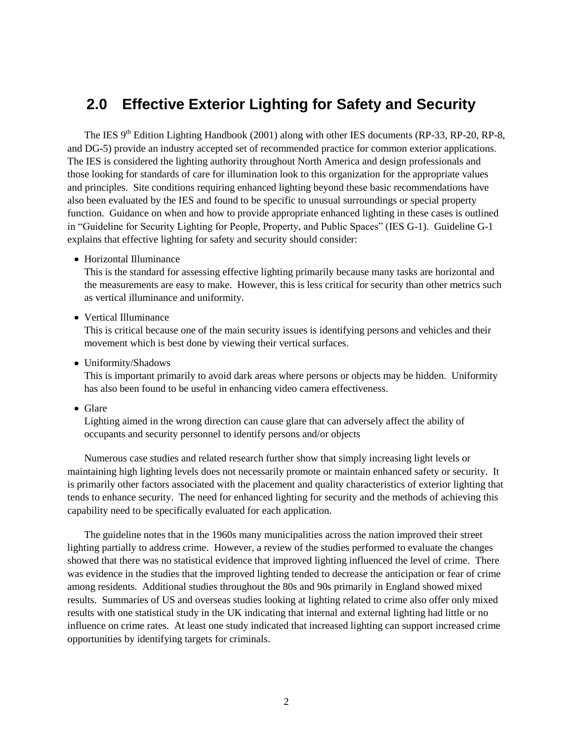### **2.0 Effective Exterior Lighting for Safety and Security**

The IES 9<sup>th</sup> Edition Lighting Handbook (2001) along with other IES documents (RP-33, RP-20, RP-8, and DG-5) provide an industry accepted set of recommended practice for common exterior applications. The IES is considered the lighting authority throughout North America and design professionals and those looking for standards of care for illumination look to this organization for the appropriate values and principles. Site conditions requiring enhanced lighting beyond these basic recommendations have also been evaluated by the IES and found to be specific to unusual surroundings or special property function. Guidance on when and how to provide appropriate enhanced lighting in these cases is outlined in "Guideline for Security Lighting for People, Property, and Public Spaces" (IES G-1). Guideline G-1 explains that effective lighting for safety and security should consider:

Horizontal Illuminance

This is the standard for assessing effective lighting primarily because many tasks are horizontal and the measurements are easy to make. However, this is less critical for security than other metrics such as vertical illuminance and uniformity.

Vertical Illuminance

This is critical because one of the main security issues is identifying persons and vehicles and their movement which is best done by viewing their vertical surfaces.

Uniformity/Shadows

This is important primarily to avoid dark areas where persons or objects may be hidden. Uniformity has also been found to be useful in enhancing video camera effectiveness.

• Glare

Lighting aimed in the wrong direction can cause glare that can adversely affect the ability of occupants and security personnel to identify persons and/or objects

Numerous case studies and related research further show that simply increasing light levels or maintaining high lighting levels does not necessarily promote or maintain enhanced safety or security. It is primarily other factors associated with the placement and quality characteristics of exterior lighting that tends to enhance security. The need for enhanced lighting for security and the methods of achieving this capability need to be specifically evaluated for each application.

The guideline notes that in the 1960s many municipalities across the nation improved their street lighting partially to address crime. However, a review of the studies performed to evaluate the changes showed that there was no statistical evidence that improved lighting influenced the level of crime. There was evidence in the studies that the improved lighting tended to decrease the anticipation or fear of crime among residents. Additional studies throughout the 80s and 90s primarily in England showed mixed results. Summaries of US and overseas studies looking at lighting related to crime also offer only mixed results with one statistical study in the UK indicating that internal and external lighting had little or no influence on crime rates. At least one study indicated that increased lighting can support increased crime opportunities by identifying targets for criminals.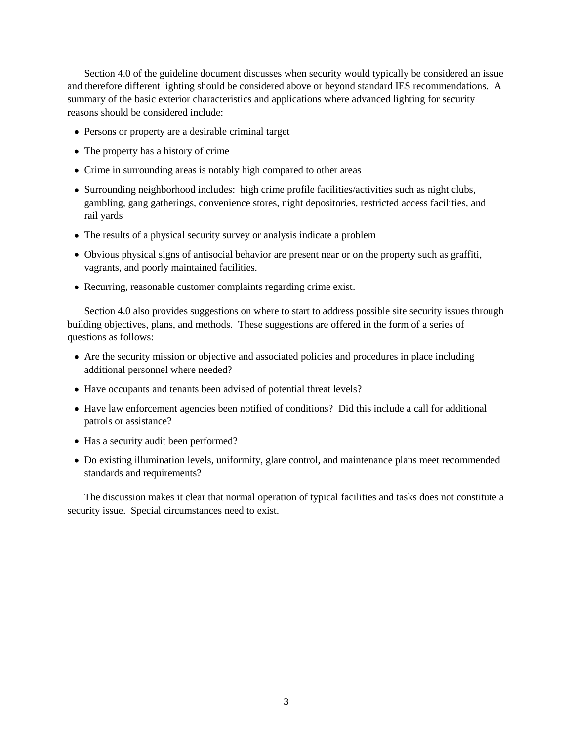Section 4.0 of the guideline document discusses when security would typically be considered an issue and therefore different lighting should be considered above or beyond standard IES recommendations. A summary of the basic exterior characteristics and applications where advanced lighting for security reasons should be considered include:

- Persons or property are a desirable criminal target
- The property has a history of crime
- Crime in surrounding areas is notably high compared to other areas
- Surrounding neighborhood includes: high crime profile facilities/activities such as night clubs, gambling, gang gatherings, convenience stores, night depositories, restricted access facilities, and rail yards
- The results of a physical security survey or analysis indicate a problem
- Obvious physical signs of antisocial behavior are present near or on the property such as graffiti, vagrants, and poorly maintained facilities.
- Recurring, reasonable customer complaints regarding crime exist.

Section 4.0 also provides suggestions on where to start to address possible site security issues through building objectives, plans, and methods. These suggestions are offered in the form of a series of questions as follows:

- Are the security mission or objective and associated policies and procedures in place including additional personnel where needed?
- Have occupants and tenants been advised of potential threat levels?
- Have law enforcement agencies been notified of conditions? Did this include a call for additional patrols or assistance?
- Has a security audit been performed?
- Do existing illumination levels, uniformity, glare control, and maintenance plans meet recommended standards and requirements?

The discussion makes it clear that normal operation of typical facilities and tasks does not constitute a security issue. Special circumstances need to exist.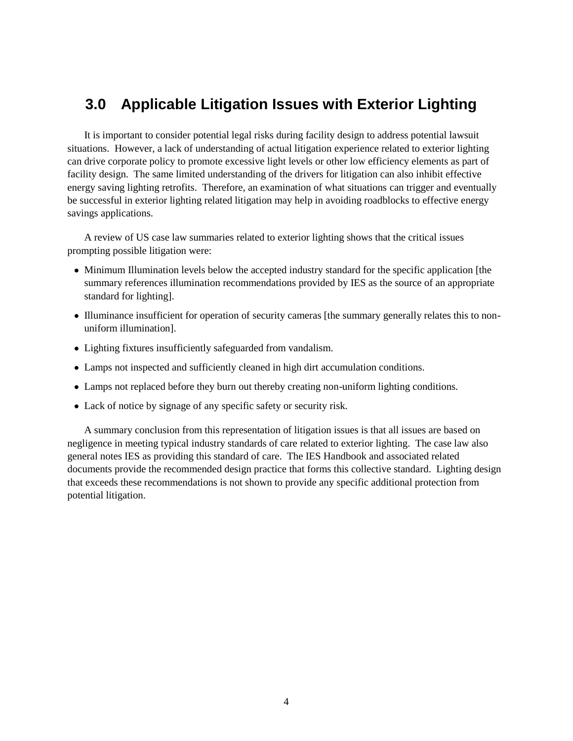### **3.0 Applicable Litigation Issues with Exterior Lighting**

It is important to consider potential legal risks during facility design to address potential lawsuit situations. However, a lack of understanding of actual litigation experience related to exterior lighting can drive corporate policy to promote excessive light levels or other low efficiency elements as part of facility design. The same limited understanding of the drivers for litigation can also inhibit effective energy saving lighting retrofits. Therefore, an examination of what situations can trigger and eventually be successful in exterior lighting related litigation may help in avoiding roadblocks to effective energy savings applications.

A review of US case law summaries related to exterior lighting shows that the critical issues prompting possible litigation were:

- Minimum Illumination levels below the accepted industry standard for the specific application [the summary references illumination recommendations provided by IES as the source of an appropriate standard for lighting].
- Illuminance insufficient for operation of security cameras [the summary generally relates this to nonuniform illumination].
- Lighting fixtures insufficiently safeguarded from vandalism.
- Lamps not inspected and sufficiently cleaned in high dirt accumulation conditions.
- Lamps not replaced before they burn out thereby creating non-uniform lighting conditions.
- Lack of notice by signage of any specific safety or security risk.

A summary conclusion from this representation of litigation issues is that all issues are based on negligence in meeting typical industry standards of care related to exterior lighting. The case law also general notes IES as providing this standard of care. The IES Handbook and associated related documents provide the recommended design practice that forms this collective standard. Lighting design that exceeds these recommendations is not shown to provide any specific additional protection from potential litigation.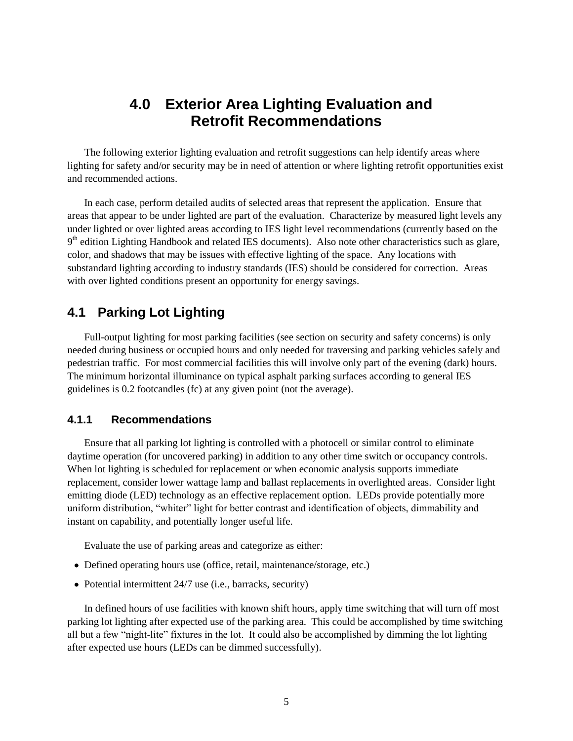### **4.0 Exterior Area Lighting Evaluation and Retrofit Recommendations**

The following exterior lighting evaluation and retrofit suggestions can help identify areas where lighting for safety and/or security may be in need of attention or where lighting retrofit opportunities exist and recommended actions.

In each case, perform detailed audits of selected areas that represent the application. Ensure that areas that appear to be under lighted are part of the evaluation. Characterize by measured light levels any under lighted or over lighted areas according to IES light level recommendations (currently based on the  $9<sup>th</sup>$  edition Lighting Handbook and related IES documents). Also note other characteristics such as glare, color, and shadows that may be issues with effective lighting of the space. Any locations with substandard lighting according to industry standards (IES) should be considered for correction. Areas with over lighted conditions present an opportunity for energy savings.

#### **4.1 Parking Lot Lighting**

Full-output lighting for most parking facilities (see section on security and safety concerns) is only needed during business or occupied hours and only needed for traversing and parking vehicles safely and pedestrian traffic. For most commercial facilities this will involve only part of the evening (dark) hours. The minimum horizontal illuminance on typical asphalt parking surfaces according to general IES guidelines is 0.2 footcandles (fc) at any given point (not the average).

#### **4.1.1 Recommendations**

Ensure that all parking lot lighting is controlled with a photocell or similar control to eliminate daytime operation (for uncovered parking) in addition to any other time switch or occupancy controls. When lot lighting is scheduled for replacement or when economic analysis supports immediate replacement, consider lower wattage lamp and ballast replacements in overlighted areas. Consider light emitting diode (LED) technology as an effective replacement option. LEDs provide potentially more uniform distribution, "whiter" light for better contrast and identification of objects, dimmability and instant on capability, and potentially longer useful life.

Evaluate the use of parking areas and categorize as either:

- Defined operating hours use (office, retail, maintenance/storage, etc.)
- Potential intermittent 24/7 use (i.e., barracks, security)

In defined hours of use facilities with known shift hours, apply time switching that will turn off most parking lot lighting after expected use of the parking area. This could be accomplished by time switching all but a few "night-lite" fixtures in the lot. It could also be accomplished by dimming the lot lighting after expected use hours (LEDs can be dimmed successfully).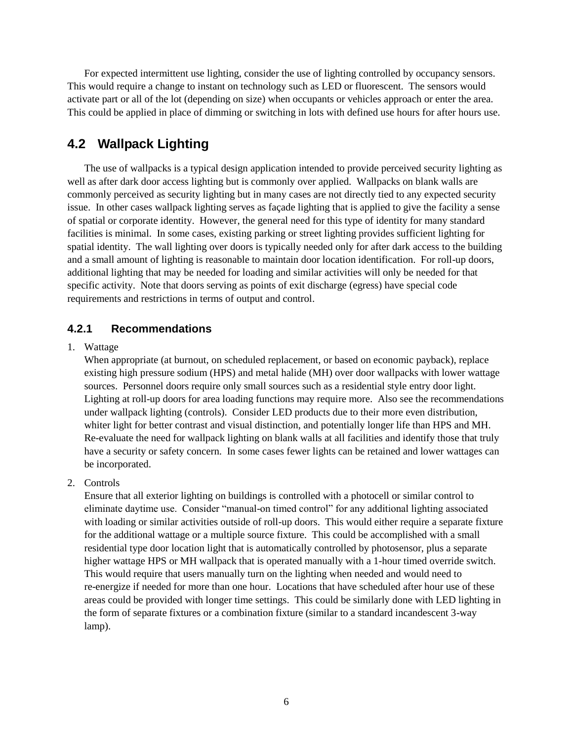For expected intermittent use lighting, consider the use of lighting controlled by occupancy sensors. This would require a change to instant on technology such as LED or fluorescent. The sensors would activate part or all of the lot (depending on size) when occupants or vehicles approach or enter the area. This could be applied in place of dimming or switching in lots with defined use hours for after hours use.

#### **4.2 Wallpack Lighting**

The use of wallpacks is a typical design application intended to provide perceived security lighting as well as after dark door access lighting but is commonly over applied. Wallpacks on blank walls are commonly perceived as security lighting but in many cases are not directly tied to any expected security issue. In other cases wallpack lighting serves as façade lighting that is applied to give the facility a sense of spatial or corporate identity. However, the general need for this type of identity for many standard facilities is minimal. In some cases, existing parking or street lighting provides sufficient lighting for spatial identity. The wall lighting over doors is typically needed only for after dark access to the building and a small amount of lighting is reasonable to maintain door location identification. For roll-up doors, additional lighting that may be needed for loading and similar activities will only be needed for that specific activity. Note that doors serving as points of exit discharge (egress) have special code requirements and restrictions in terms of output and control.

#### **4.2.1 Recommendations**

#### 1. Wattage

When appropriate (at burnout, on scheduled replacement, or based on economic payback), replace existing high pressure sodium (HPS) and metal halide (MH) over door wallpacks with lower wattage sources. Personnel doors require only small sources such as a residential style entry door light. Lighting at roll-up doors for area loading functions may require more. Also see the recommendations under wallpack lighting (controls). Consider LED products due to their more even distribution, whiter light for better contrast and visual distinction, and potentially longer life than HPS and MH. Re-evaluate the need for wallpack lighting on blank walls at all facilities and identify those that truly have a security or safety concern. In some cases fewer lights can be retained and lower wattages can be incorporated.

#### 2. Controls

Ensure that all exterior lighting on buildings is controlled with a photocell or similar control to eliminate daytime use. Consider "manual-on timed control" for any additional lighting associated with loading or similar activities outside of roll-up doors. This would either require a separate fixture for the additional wattage or a multiple source fixture. This could be accomplished with a small residential type door location light that is automatically controlled by photosensor, plus a separate higher wattage HPS or MH wallpack that is operated manually with a 1-hour timed override switch. This would require that users manually turn on the lighting when needed and would need to re-energize if needed for more than one hour. Locations that have scheduled after hour use of these areas could be provided with longer time settings. This could be similarly done with LED lighting in the form of separate fixtures or a combination fixture (similar to a standard incandescent 3-way lamp).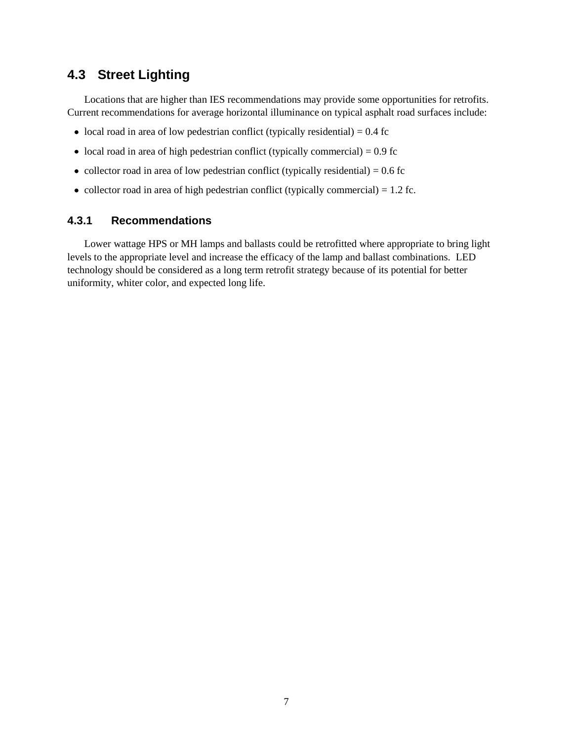### **4.3 Street Lighting**

Locations that are higher than IES recommendations may provide some opportunities for retrofits. Current recommendations for average horizontal illuminance on typical asphalt road surfaces include:

- $\bullet$  local road in area of low pedestrian conflict (typically residential) = 0.4 fc
- $\bullet$  local road in area of high pedestrian conflict (typically commercial) = 0.9 fc
- collector road in area of low pedestrian conflict (typically residential) =  $0.6$  fc
- collector road in area of high pedestrian conflict (typically commercial) =  $1.2$  fc.

#### **4.3.1 Recommendations**

Lower wattage HPS or MH lamps and ballasts could be retrofitted where appropriate to bring light levels to the appropriate level and increase the efficacy of the lamp and ballast combinations. LED technology should be considered as a long term retrofit strategy because of its potential for better uniformity, whiter color, and expected long life.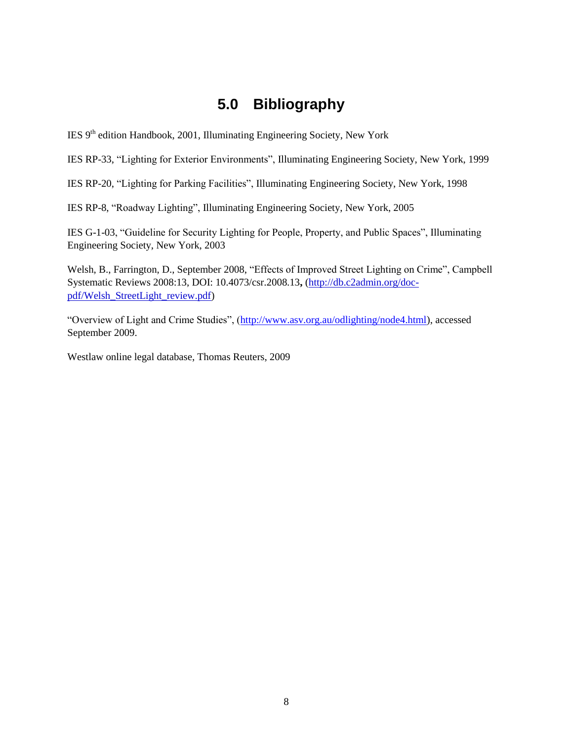### **5.0 Bibliography**

IES 9th edition Handbook, 2001, Illuminating Engineering Society, New York

IES RP-33, "Lighting for Exterior Environments", Illuminating Engineering Society, New York, 1999

IES RP-20, "Lighting for Parking Facilities", Illuminating Engineering Society, New York, 1998

IES RP-8, "Roadway Lighting", Illuminating Engineering Society, New York, 2005

IES G-1-03, "Guideline for Security Lighting for People, Property, and Public Spaces", Illuminating Engineering Society, New York, 2003

Welsh, B., Farrington, D., September 2008, "Effects of Improved Street Lighting on Crime", Campbell Systematic Reviews 2008:13, DOI: 10.4073/csr.2008.13**,** [\(http://db.c2admin.org/doc](http://db.c2admin.org/doc-pdf/Welsh_StreetLight_review.pdf)[pdf/Welsh\\_StreetLight\\_review.pdf\)](http://db.c2admin.org/doc-pdf/Welsh_StreetLight_review.pdf)

"Overview of Light and Crime Studies", [\(http://www.asv.org.au/odlighting/node4.html\)](http://www.asv.org.au/odlighting/node4.html), accessed September 2009.

Westlaw online legal database, Thomas Reuters, 2009